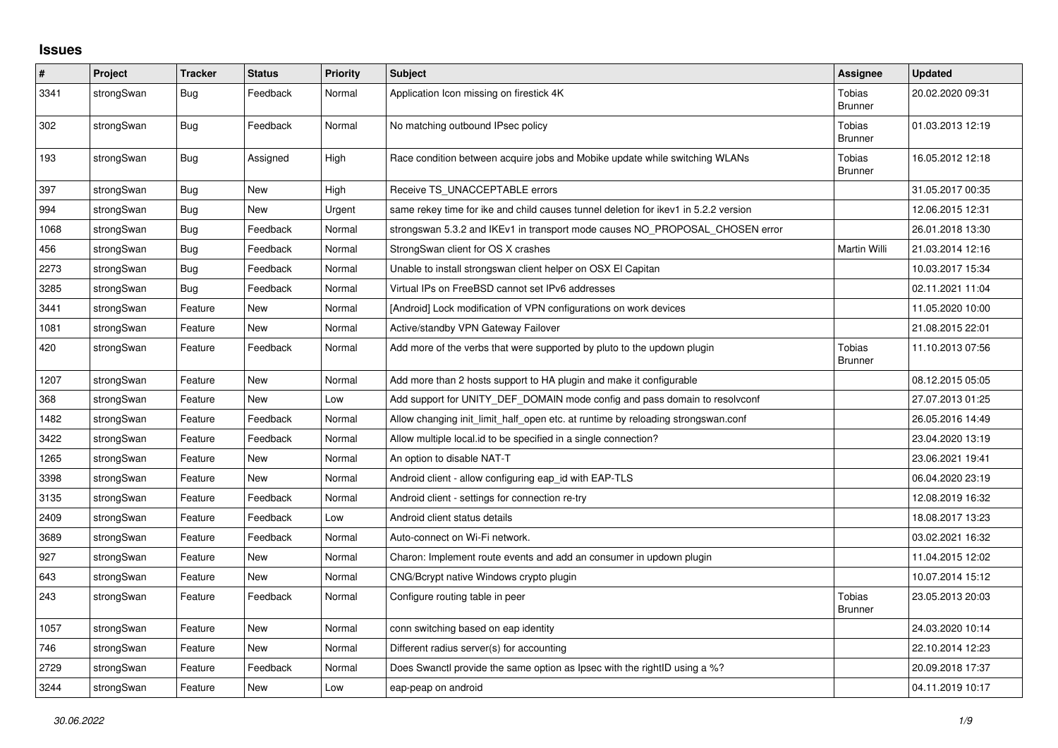## **Issues**

| #    | Project    | <b>Tracker</b> | <b>Status</b> | <b>Priority</b> | <b>Subject</b>                                                                      | <b>Assignee</b>                 | <b>Updated</b>   |
|------|------------|----------------|---------------|-----------------|-------------------------------------------------------------------------------------|---------------------------------|------------------|
| 3341 | strongSwan | Bug            | Feedback      | Normal          | Application Icon missing on firestick 4K                                            | Tobias<br><b>Brunner</b>        | 20.02.2020 09:31 |
| 302  | strongSwan | Bug            | Feedback      | Normal          | No matching outbound IPsec policy                                                   | Tobias<br><b>Brunner</b>        | 01.03.2013 12:19 |
| 193  | strongSwan | <b>Bug</b>     | Assigned      | High            | Race condition between acquire jobs and Mobike update while switching WLANs         | Tobias<br><b>Brunner</b>        | 16.05.2012 12:18 |
| 397  | strongSwan | Bug            | <b>New</b>    | High            | Receive TS UNACCEPTABLE errors                                                      |                                 | 31.05.2017 00:35 |
| 994  | strongSwan | Bug            | <b>New</b>    | Urgent          | same rekey time for ike and child causes tunnel deletion for ikev1 in 5.2.2 version |                                 | 12.06.2015 12:31 |
| 1068 | strongSwan | <b>Bug</b>     | Feedback      | Normal          | strongswan 5.3.2 and IKEv1 in transport mode causes NO_PROPOSAL_CHOSEN error        |                                 | 26.01.2018 13:30 |
| 456  | strongSwan | Bug            | Feedback      | Normal          | StrongSwan client for OS X crashes                                                  | Martin Willi                    | 21.03.2014 12:16 |
| 2273 | strongSwan | Bug            | Feedback      | Normal          | Unable to install strongswan client helper on OSX El Capitan                        |                                 | 10.03.2017 15:34 |
| 3285 | strongSwan | Bug            | Feedback      | Normal          | Virtual IPs on FreeBSD cannot set IPv6 addresses                                    |                                 | 02.11.2021 11:04 |
| 3441 | strongSwan | Feature        | <b>New</b>    | Normal          | [Android] Lock modification of VPN configurations on work devices                   |                                 | 11.05.2020 10:00 |
| 1081 | strongSwan | Feature        | New           | Normal          | Active/standby VPN Gateway Failover                                                 |                                 | 21.08.2015 22:01 |
| 420  | strongSwan | Feature        | Feedback      | Normal          | Add more of the verbs that were supported by pluto to the updown plugin             | Tobias<br><b>Brunner</b>        | 11.10.2013 07:56 |
| 1207 | strongSwan | Feature        | New           | Normal          | Add more than 2 hosts support to HA plugin and make it configurable                 |                                 | 08.12.2015 05:05 |
| 368  | strongSwan | Feature        | New           | Low             | Add support for UNITY DEF DOMAIN mode config and pass domain to resolvconf          |                                 | 27.07.2013 01:25 |
| 1482 | strongSwan | Feature        | Feedback      | Normal          | Allow changing init_limit_half_open etc. at runtime by reloading strongswan.conf    |                                 | 26.05.2016 14:49 |
| 3422 | strongSwan | Feature        | Feedback      | Normal          | Allow multiple local id to be specified in a single connection?                     |                                 | 23.04.2020 13:19 |
| 1265 | strongSwan | Feature        | New           | Normal          | An option to disable NAT-T                                                          |                                 | 23.06.2021 19:41 |
| 3398 | strongSwan | Feature        | New           | Normal          | Android client - allow configuring eap id with EAP-TLS                              |                                 | 06.04.2020 23:19 |
| 3135 | strongSwan | Feature        | Feedback      | Normal          | Android client - settings for connection re-try                                     |                                 | 12.08.2019 16:32 |
| 2409 | strongSwan | Feature        | Feedback      | Low             | Android client status details                                                       |                                 | 18.08.2017 13:23 |
| 3689 | strongSwan | Feature        | Feedback      | Normal          | Auto-connect on Wi-Fi network.                                                      |                                 | 03.02.2021 16:32 |
| 927  | strongSwan | Feature        | <b>New</b>    | Normal          | Charon: Implement route events and add an consumer in updown plugin                 |                                 | 11.04.2015 12:02 |
| 643  | strongSwan | Feature        | New           | Normal          | CNG/Bcrypt native Windows crypto plugin                                             |                                 | 10.07.2014 15:12 |
| 243  | strongSwan | Feature        | Feedback      | Normal          | Configure routing table in peer                                                     | <b>Tobias</b><br><b>Brunner</b> | 23.05.2013 20:03 |
| 1057 | strongSwan | Feature        | <b>New</b>    | Normal          | conn switching based on eap identity                                                |                                 | 24.03.2020 10:14 |
| 746  | strongSwan | Feature        | New           | Normal          | Different radius server(s) for accounting                                           |                                 | 22.10.2014 12:23 |
| 2729 | strongSwan | Feature        | Feedback      | Normal          | Does Swanctl provide the same option as Ipsec with the rightID using a %?           |                                 | 20.09.2018 17:37 |
| 3244 | strongSwan | Feature        | New           | Low             | eap-peap on android                                                                 |                                 | 04.11.2019 10:17 |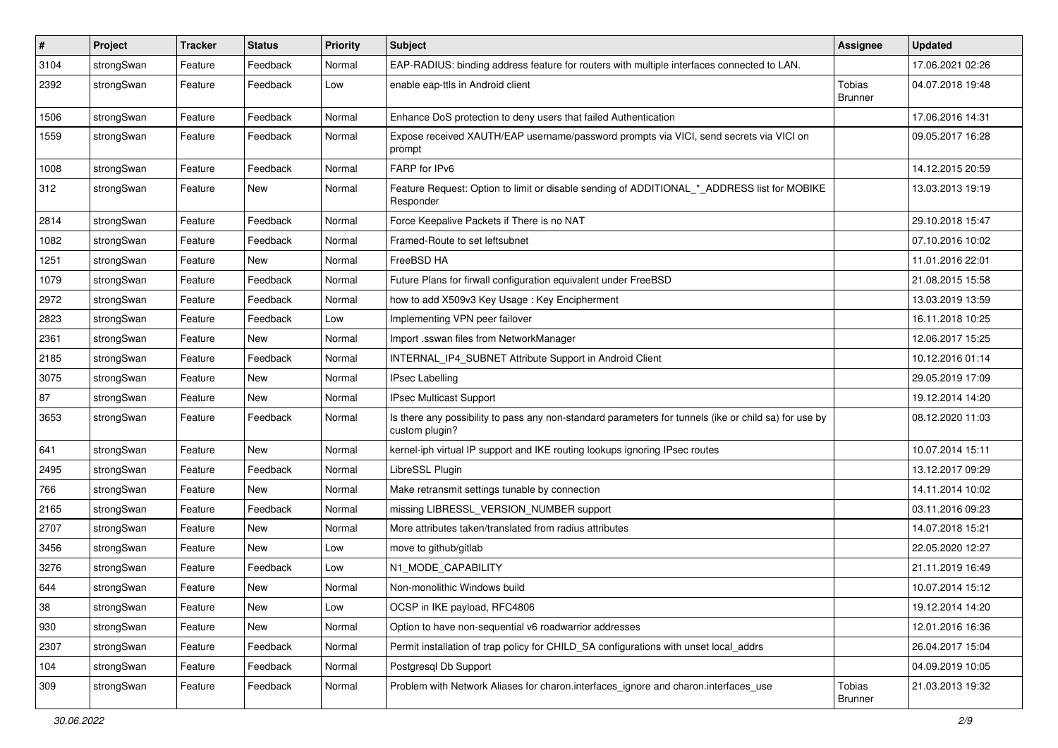| $\pmb{\#}$ | Project    | <b>Tracker</b> | <b>Status</b> | <b>Priority</b> | <b>Subject</b>                                                                                                          | Assignee                 | <b>Updated</b>   |
|------------|------------|----------------|---------------|-----------------|-------------------------------------------------------------------------------------------------------------------------|--------------------------|------------------|
| 3104       | strongSwan | Feature        | Feedback      | Normal          | EAP-RADIUS: binding address feature for routers with multiple interfaces connected to LAN.                              |                          | 17.06.2021 02:26 |
| 2392       | strongSwan | Feature        | Feedback      | Low             | enable eap-ttls in Android client                                                                                       | Tobias<br><b>Brunner</b> | 04.07.2018 19:48 |
| 1506       | strongSwan | Feature        | Feedback      | Normal          | Enhance DoS protection to deny users that failed Authentication                                                         |                          | 17.06.2016 14:31 |
| 1559       | strongSwan | Feature        | Feedback      | Normal          | Expose received XAUTH/EAP username/password prompts via VICI, send secrets via VICI on<br>prompt                        |                          | 09.05.2017 16:28 |
| 1008       | strongSwan | Feature        | Feedback      | Normal          | FARP for IPv6                                                                                                           |                          | 14.12.2015 20:59 |
| 312        | strongSwan | Feature        | New           | Normal          | Feature Request: Option to limit or disable sending of ADDITIONAL_*_ADDRESS list for MOBIKE<br>Responder                |                          | 13.03.2013 19:19 |
| 2814       | strongSwan | Feature        | Feedback      | Normal          | Force Keepalive Packets if There is no NAT                                                                              |                          | 29.10.2018 15:47 |
| 1082       | strongSwan | Feature        | Feedback      | Normal          | Framed-Route to set leftsubnet                                                                                          |                          | 07.10.2016 10:02 |
| 1251       | strongSwan | Feature        | New           | Normal          | FreeBSD HA                                                                                                              |                          | 11.01.2016 22:01 |
| 1079       | strongSwan | Feature        | Feedback      | Normal          | Future Plans for firwall configuration equivalent under FreeBSD                                                         |                          | 21.08.2015 15:58 |
| 2972       | strongSwan | Feature        | Feedback      | Normal          | how to add X509v3 Key Usage: Key Encipherment                                                                           |                          | 13.03.2019 13:59 |
| 2823       | strongSwan | Feature        | Feedback      | Low             | Implementing VPN peer failover                                                                                          |                          | 16.11.2018 10:25 |
| 2361       | strongSwan | Feature        | New           | Normal          | Import .sswan files from NetworkManager                                                                                 |                          | 12.06.2017 15:25 |
| 2185       | strongSwan | Feature        | Feedback      | Normal          | INTERNAL_IP4_SUBNET Attribute Support in Android Client                                                                 |                          | 10.12.2016 01:14 |
| 3075       | strongSwan | Feature        | New           | Normal          | <b>IPsec Labelling</b>                                                                                                  |                          | 29.05.2019 17:09 |
| 87         | strongSwan | Feature        | New           | Normal          | <b>IPsec Multicast Support</b>                                                                                          |                          | 19.12.2014 14:20 |
| 3653       | strongSwan | Feature        | Feedback      | Normal          | Is there any possibility to pass any non-standard parameters for tunnels (ike or child sa) for use by<br>custom plugin? |                          | 08.12.2020 11:03 |
| 641        | strongSwan | Feature        | <b>New</b>    | Normal          | kernel-iph virtual IP support and IKE routing lookups ignoring IPsec routes                                             |                          | 10.07.2014 15:11 |
| 2495       | strongSwan | Feature        | Feedback      | Normal          | LibreSSL Plugin                                                                                                         |                          | 13.12.2017 09:29 |
| 766        | strongSwan | Feature        | New           | Normal          | Make retransmit settings tunable by connection                                                                          |                          | 14.11.2014 10:02 |
| 2165       | strongSwan | Feature        | Feedback      | Normal          | missing LIBRESSL_VERSION_NUMBER support                                                                                 |                          | 03.11.2016 09:23 |
| 2707       | strongSwan | Feature        | New           | Normal          | More attributes taken/translated from radius attributes                                                                 |                          | 14.07.2018 15:21 |
| 3456       | strongSwan | Feature        | New           | Low             | move to github/gitlab                                                                                                   |                          | 22.05.2020 12:27 |
| 3276       | strongSwan | Feature        | Feedback      | Low             | N1_MODE_CAPABILITY                                                                                                      |                          | 21.11.2019 16:49 |
| 644        | strongSwan | Feature        | New           | Normal          | Non-monolithic Windows build                                                                                            |                          | 10.07.2014 15:12 |
| 38         | strongSwan | Feature        | New           | Low             | OCSP in IKE payload, RFC4806                                                                                            |                          | 19.12.2014 14:20 |
| 930        | strongSwan | Feature        | New           | Normal          | Option to have non-sequential v6 roadwarrior addresses                                                                  |                          | 12.01.2016 16:36 |
| 2307       | strongSwan | Feature        | Feedback      | Normal          | Permit installation of trap policy for CHILD_SA configurations with unset local_addrs                                   |                          | 26.04.2017 15:04 |
| 104        | strongSwan | Feature        | Feedback      | Normal          | Postgresql Db Support                                                                                                   |                          | 04.09.2019 10:05 |
| 309        | strongSwan | Feature        | Feedback      | Normal          | Problem with Network Aliases for charon.interfaces_ignore and charon.interfaces_use                                     | Tobias<br><b>Brunner</b> | 21.03.2013 19:32 |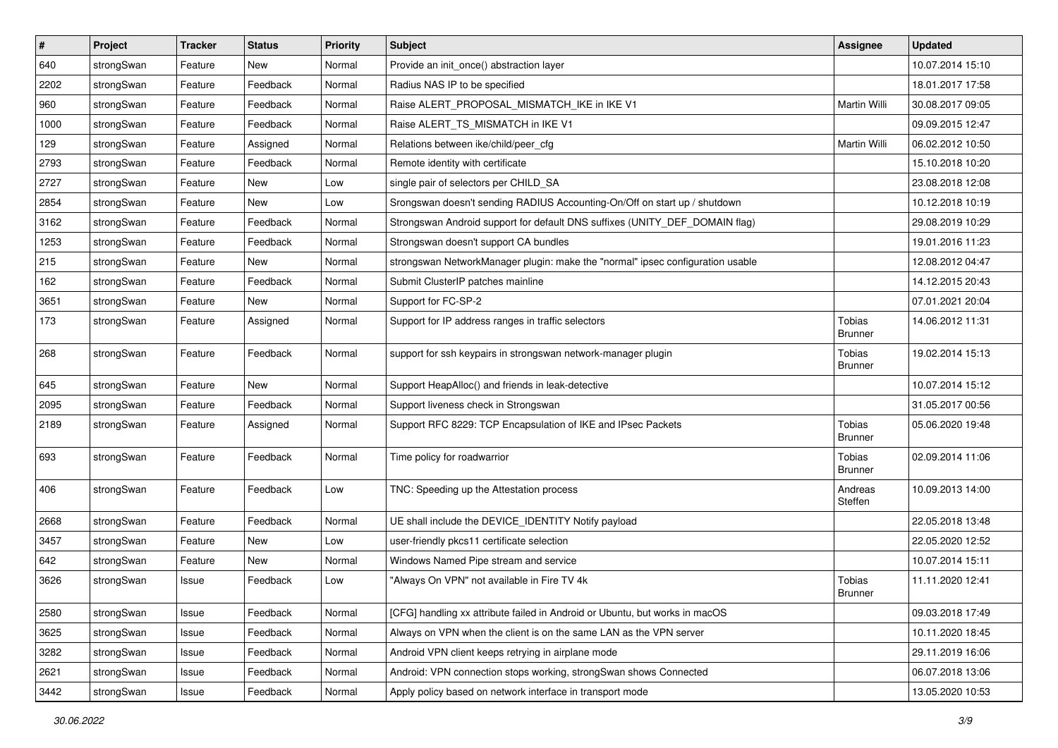| $\sharp$ | Project    | <b>Tracker</b> | <b>Status</b> | <b>Priority</b> | <b>Subject</b>                                                                 | <b>Assignee</b>          | <b>Updated</b>   |
|----------|------------|----------------|---------------|-----------------|--------------------------------------------------------------------------------|--------------------------|------------------|
| 640      | strongSwan | Feature        | New           | Normal          | Provide an init_once() abstraction layer                                       |                          | 10.07.2014 15:10 |
| 2202     | strongSwan | Feature        | Feedback      | Normal          | Radius NAS IP to be specified                                                  |                          | 18.01.2017 17:58 |
| 960      | strongSwan | Feature        | Feedback      | Normal          | Raise ALERT_PROPOSAL_MISMATCH_IKE in IKE V1                                    | Martin Willi             | 30.08.2017 09:05 |
| 1000     | strongSwan | Feature        | Feedback      | Normal          | Raise ALERT_TS_MISMATCH in IKE V1                                              |                          | 09.09.2015 12:47 |
| 129      | strongSwan | Feature        | Assigned      | Normal          | Relations between ike/child/peer_cfg                                           | Martin Willi             | 06.02.2012 10:50 |
| 2793     | strongSwan | Feature        | Feedback      | Normal          | Remote identity with certificate                                               |                          | 15.10.2018 10:20 |
| 2727     | strongSwan | Feature        | New           | Low             | single pair of selectors per CHILD_SA                                          |                          | 23.08.2018 12:08 |
| 2854     | strongSwan | Feature        | New           | Low             | Srongswan doesn't sending RADIUS Accounting-On/Off on start up / shutdown      |                          | 10.12.2018 10:19 |
| 3162     | strongSwan | Feature        | Feedback      | Normal          | Strongswan Android support for default DNS suffixes (UNITY_DEF_DOMAIN flag)    |                          | 29.08.2019 10:29 |
| 1253     | strongSwan | Feature        | Feedback      | Normal          | Strongswan doesn't support CA bundles                                          |                          | 19.01.2016 11:23 |
| 215      | strongSwan | Feature        | New           | Normal          | strongswan NetworkManager plugin: make the "normal" ipsec configuration usable |                          | 12.08.2012 04:47 |
| 162      | strongSwan | Feature        | Feedback      | Normal          | Submit ClusterIP patches mainline                                              |                          | 14.12.2015 20:43 |
| 3651     | strongSwan | Feature        | New           | Normal          | Support for FC-SP-2                                                            |                          | 07.01.2021 20:04 |
| 173      | strongSwan | Feature        | Assigned      | Normal          | Support for IP address ranges in traffic selectors                             | Tobias<br><b>Brunner</b> | 14.06.2012 11:31 |
| 268      | strongSwan | Feature        | Feedback      | Normal          | support for ssh keypairs in strongswan network-manager plugin                  | Tobias<br><b>Brunner</b> | 19.02.2014 15:13 |
| 645      | strongSwan | Feature        | <b>New</b>    | Normal          | Support HeapAlloc() and friends in leak-detective                              |                          | 10.07.2014 15:12 |
| 2095     | strongSwan | Feature        | Feedback      | Normal          | Support liveness check in Strongswan                                           |                          | 31.05.2017 00:56 |
| 2189     | strongSwan | Feature        | Assigned      | Normal          | Support RFC 8229: TCP Encapsulation of IKE and IPsec Packets                   | Tobias<br><b>Brunner</b> | 05.06.2020 19:48 |
| 693      | strongSwan | Feature        | Feedback      | Normal          | Time policy for roadwarrior                                                    | Tobias<br><b>Brunner</b> | 02.09.2014 11:06 |
| 406      | strongSwan | Feature        | Feedback      | Low             | TNC: Speeding up the Attestation process                                       | Andreas<br>Steffen       | 10.09.2013 14:00 |
| 2668     | strongSwan | Feature        | Feedback      | Normal          | UE shall include the DEVICE_IDENTITY Notify payload                            |                          | 22.05.2018 13:48 |
| 3457     | strongSwan | Feature        | New           | Low             | user-friendly pkcs11 certificate selection                                     |                          | 22.05.2020 12:52 |
| 642      | strongSwan | Feature        | New           | Normal          | Windows Named Pipe stream and service                                          |                          | 10.07.2014 15:11 |
| 3626     | strongSwan | Issue          | Feedback      | Low             | "Always On VPN" not available in Fire TV 4k                                    | Tobias<br><b>Brunner</b> | 11.11.2020 12:41 |
| 2580     | strongSwan | Issue          | Feedback      | Normal          | [CFG] handling xx attribute failed in Android or Ubuntu, but works in macOS    |                          | 09.03.2018 17:49 |
| 3625     | strongSwan | Issue          | Feedback      | Normal          | Always on VPN when the client is on the same LAN as the VPN server             |                          | 10.11.2020 18:45 |
| 3282     | strongSwan | Issue          | Feedback      | Normal          | Android VPN client keeps retrying in airplane mode                             |                          | 29.11.2019 16:06 |
| 2621     | strongSwan | Issue          | Feedback      | Normal          | Android: VPN connection stops working, strongSwan shows Connected              |                          | 06.07.2018 13:06 |
| 3442     | strongSwan | Issue          | Feedback      | Normal          | Apply policy based on network interface in transport mode                      |                          | 13.05.2020 10:53 |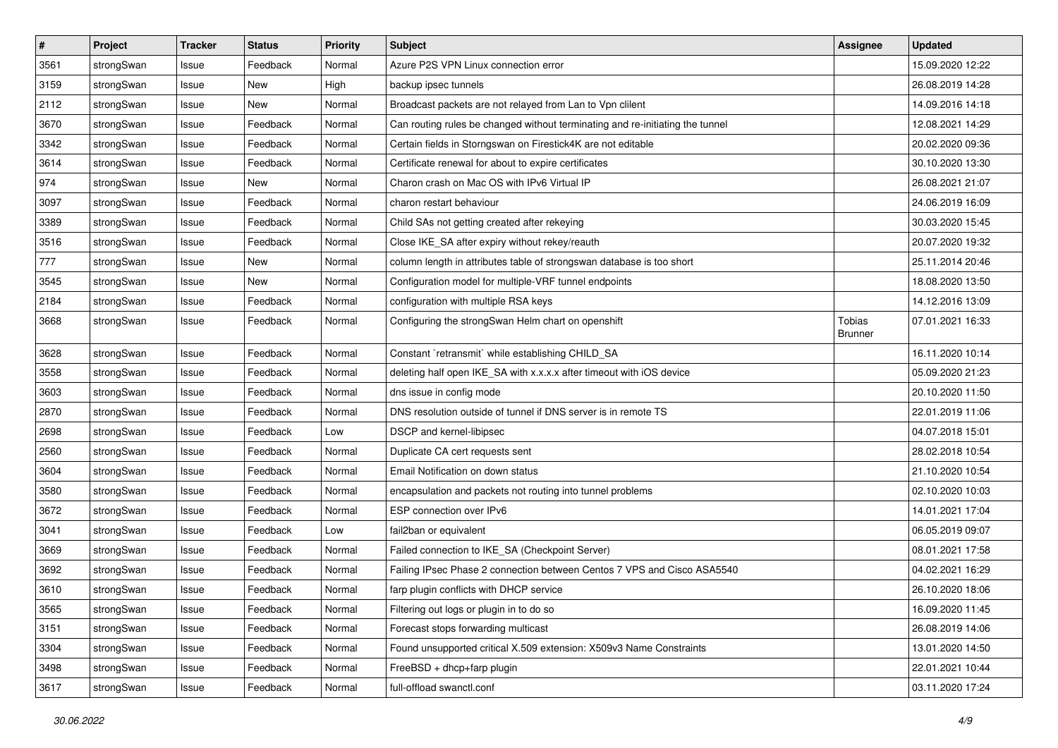| $\pmb{\#}$ | Project    | <b>Tracker</b> | <b>Status</b> | <b>Priority</b> | <b>Subject</b>                                                                | <b>Assignee</b>          | <b>Updated</b>   |
|------------|------------|----------------|---------------|-----------------|-------------------------------------------------------------------------------|--------------------------|------------------|
| 3561       | strongSwan | Issue          | Feedback      | Normal          | Azure P2S VPN Linux connection error                                          |                          | 15.09.2020 12:22 |
| 3159       | strongSwan | Issue          | New           | High            | backup ipsec tunnels                                                          |                          | 26.08.2019 14:28 |
| 2112       | strongSwan | Issue          | New           | Normal          | Broadcast packets are not relayed from Lan to Vpn clilent                     |                          | 14.09.2016 14:18 |
| 3670       | strongSwan | Issue          | Feedback      | Normal          | Can routing rules be changed without terminating and re-initiating the tunnel |                          | 12.08.2021 14:29 |
| 3342       | strongSwan | Issue          | Feedback      | Normal          | Certain fields in Storngswan on Firestick4K are not editable                  |                          | 20.02.2020 09:36 |
| 3614       | strongSwan | Issue          | Feedback      | Normal          | Certificate renewal for about to expire certificates                          |                          | 30.10.2020 13:30 |
| 974        | strongSwan | Issue          | New           | Normal          | Charon crash on Mac OS with IPv6 Virtual IP                                   |                          | 26.08.2021 21:07 |
| 3097       | strongSwan | Issue          | Feedback      | Normal          | charon restart behaviour                                                      |                          | 24.06.2019 16:09 |
| 3389       | strongSwan | Issue          | Feedback      | Normal          | Child SAs not getting created after rekeying                                  |                          | 30.03.2020 15:45 |
| 3516       | strongSwan | Issue          | Feedback      | Normal          | Close IKE_SA after expiry without rekey/reauth                                |                          | 20.07.2020 19:32 |
| 777        | strongSwan | Issue          | New           | Normal          | column length in attributes table of strongswan database is too short         |                          | 25.11.2014 20:46 |
| 3545       | strongSwan | Issue          | New           | Normal          | Configuration model for multiple-VRF tunnel endpoints                         |                          | 18.08.2020 13:50 |
| 2184       | strongSwan | Issue          | Feedback      | Normal          | configuration with multiple RSA keys                                          |                          | 14.12.2016 13:09 |
| 3668       | strongSwan | Issue          | Feedback      | Normal          | Configuring the strongSwan Helm chart on openshift                            | Tobias<br><b>Brunner</b> | 07.01.2021 16:33 |
| 3628       | strongSwan | Issue          | Feedback      | Normal          | Constant `retransmit` while establishing CHILD_SA                             |                          | 16.11.2020 10:14 |
| 3558       | strongSwan | Issue          | Feedback      | Normal          | deleting half open IKE_SA with x.x.x.x after timeout with iOS device          |                          | 05.09.2020 21:23 |
| 3603       | strongSwan | Issue          | Feedback      | Normal          | dns issue in config mode                                                      |                          | 20.10.2020 11:50 |
| 2870       | strongSwan | Issue          | Feedback      | Normal          | DNS resolution outside of tunnel if DNS server is in remote TS                |                          | 22.01.2019 11:06 |
| 2698       | strongSwan | Issue          | Feedback      | Low             | DSCP and kernel-libipsec                                                      |                          | 04.07.2018 15:01 |
| 2560       | strongSwan | Issue          | Feedback      | Normal          | Duplicate CA cert requests sent                                               |                          | 28.02.2018 10:54 |
| 3604       | strongSwan | Issue          | Feedback      | Normal          | Email Notification on down status                                             |                          | 21.10.2020 10:54 |
| 3580       | strongSwan | Issue          | Feedback      | Normal          | encapsulation and packets not routing into tunnel problems                    |                          | 02.10.2020 10:03 |
| 3672       | strongSwan | Issue          | Feedback      | Normal          | ESP connection over IPv6                                                      |                          | 14.01.2021 17:04 |
| 3041       | strongSwan | Issue          | Feedback      | Low             | fail2ban or equivalent                                                        |                          | 06.05.2019 09:07 |
| 3669       | strongSwan | Issue          | Feedback      | Normal          | Failed connection to IKE_SA (Checkpoint Server)                               |                          | 08.01.2021 17:58 |
| 3692       | strongSwan | Issue          | Feedback      | Normal          | Failing IPsec Phase 2 connection between Centos 7 VPS and Cisco ASA5540       |                          | 04.02.2021 16:29 |
| 3610       | strongSwan | Issue          | Feedback      | Normal          | farp plugin conflicts with DHCP service                                       |                          | 26.10.2020 18:06 |
| 3565       | strongSwan | Issue          | Feedback      | Normal          | Filtering out logs or plugin in to do so                                      |                          | 16.09.2020 11:45 |
| 3151       | strongSwan | Issue          | Feedback      | Normal          | Forecast stops forwarding multicast                                           |                          | 26.08.2019 14:06 |
| 3304       | strongSwan | Issue          | Feedback      | Normal          | Found unsupported critical X.509 extension: X509v3 Name Constraints           |                          | 13.01.2020 14:50 |
| 3498       | strongSwan | Issue          | Feedback      | Normal          | FreeBSD + dhcp+farp plugin                                                    |                          | 22.01.2021 10:44 |
| 3617       | strongSwan | Issue          | Feedback      | Normal          | full-offload swanctl.conf                                                     |                          | 03.11.2020 17:24 |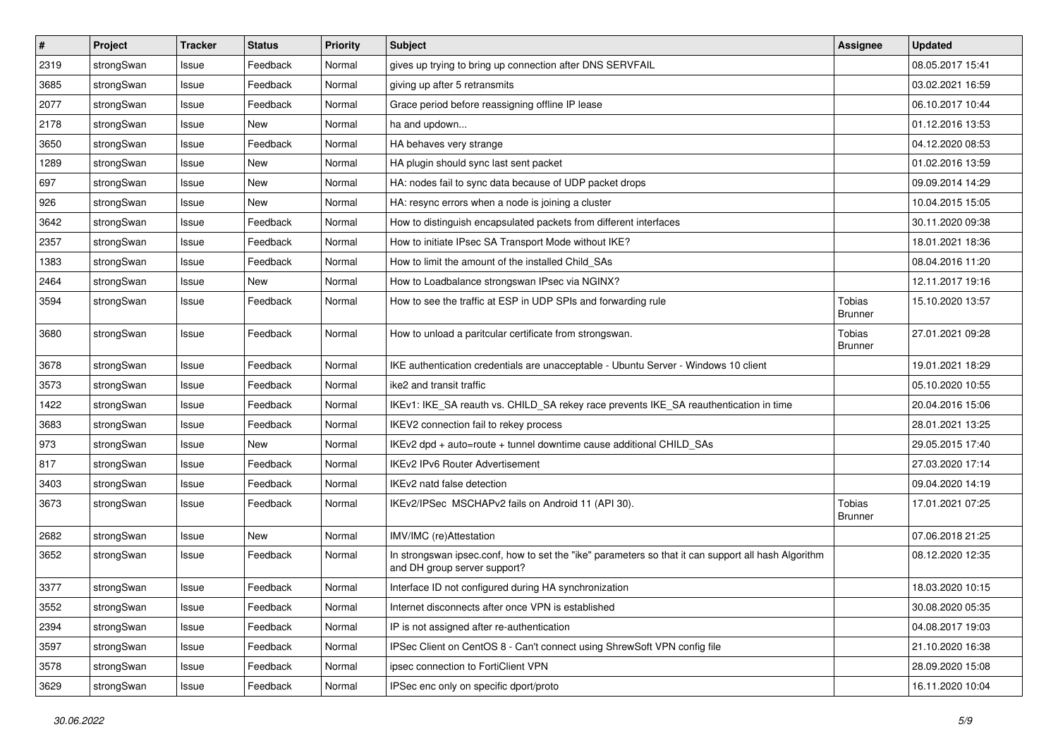| $\sharp$ | Project    | <b>Tracker</b> | <b>Status</b> | <b>Priority</b> | <b>Subject</b>                                                                                                                      | <b>Assignee</b>          | <b>Updated</b>   |
|----------|------------|----------------|---------------|-----------------|-------------------------------------------------------------------------------------------------------------------------------------|--------------------------|------------------|
| 2319     | strongSwan | Issue          | Feedback      | Normal          | gives up trying to bring up connection after DNS SERVFAIL                                                                           |                          | 08.05.2017 15:41 |
| 3685     | strongSwan | Issue          | Feedback      | Normal          | giving up after 5 retransmits                                                                                                       |                          | 03.02.2021 16:59 |
| 2077     | strongSwan | Issue          | Feedback      | Normal          | Grace period before reassigning offline IP lease                                                                                    |                          | 06.10.2017 10:44 |
| 2178     | strongSwan | Issue          | New           | Normal          | ha and updown                                                                                                                       |                          | 01.12.2016 13:53 |
| 3650     | strongSwan | Issue          | Feedback      | Normal          | HA behaves very strange                                                                                                             |                          | 04.12.2020 08:53 |
| 1289     | strongSwan | Issue          | <b>New</b>    | Normal          | HA plugin should sync last sent packet                                                                                              |                          | 01.02.2016 13:59 |
| 697      | strongSwan | Issue          | <b>New</b>    | Normal          | HA: nodes fail to sync data because of UDP packet drops                                                                             |                          | 09.09.2014 14:29 |
| 926      | strongSwan | Issue          | New           | Normal          | HA: resync errors when a node is joining a cluster                                                                                  |                          | 10.04.2015 15:05 |
| 3642     | strongSwan | Issue          | Feedback      | Normal          | How to distinguish encapsulated packets from different interfaces                                                                   |                          | 30.11.2020 09:38 |
| 2357     | strongSwan | Issue          | Feedback      | Normal          | How to initiate IPsec SA Transport Mode without IKE?                                                                                |                          | 18.01.2021 18:36 |
| 1383     | strongSwan | Issue          | Feedback      | Normal          | How to limit the amount of the installed Child SAs                                                                                  |                          | 08.04.2016 11:20 |
| 2464     | strongSwan | Issue          | New           | Normal          | How to Loadbalance strongswan IPsec via NGINX?                                                                                      |                          | 12.11.2017 19:16 |
| 3594     | strongSwan | Issue          | Feedback      | Normal          | How to see the traffic at ESP in UDP SPIs and forwarding rule                                                                       | Tobias<br><b>Brunner</b> | 15.10.2020 13:57 |
| 3680     | strongSwan | Issue          | Feedback      | Normal          | How to unload a paritcular certificate from strongswan.                                                                             | Tobias<br>Brunner        | 27.01.2021 09:28 |
| 3678     | strongSwan | Issue          | Feedback      | Normal          | IKE authentication credentials are unacceptable - Ubuntu Server - Windows 10 client                                                 |                          | 19.01.2021 18:29 |
| 3573     | strongSwan | Issue          | Feedback      | Normal          | ike2 and transit traffic                                                                                                            |                          | 05.10.2020 10:55 |
| 1422     | strongSwan | Issue          | Feedback      | Normal          | IKEv1: IKE_SA reauth vs. CHILD_SA rekey race prevents IKE_SA reauthentication in time                                               |                          | 20.04.2016 15:06 |
| 3683     | strongSwan | Issue          | Feedback      | Normal          | IKEV2 connection fail to rekey process                                                                                              |                          | 28.01.2021 13:25 |
| 973      | strongSwan | Issue          | <b>New</b>    | Normal          | IKEv2 dpd + auto=route + tunnel downtime cause additional CHILD_SAs                                                                 |                          | 29.05.2015 17:40 |
| 817      | strongSwan | Issue          | Feedback      | Normal          | <b>IKEv2 IPv6 Router Advertisement</b>                                                                                              |                          | 27.03.2020 17:14 |
| 3403     | strongSwan | Issue          | Feedback      | Normal          | IKEv2 natd false detection                                                                                                          |                          | 09.04.2020 14:19 |
| 3673     | strongSwan | Issue          | Feedback      | Normal          | IKEv2/IPSec MSCHAPv2 fails on Android 11 (API 30).                                                                                  | Tobias<br><b>Brunner</b> | 17.01.2021 07:25 |
| 2682     | strongSwan | Issue          | New           | Normal          | IMV/IMC (re)Attestation                                                                                                             |                          | 07.06.2018 21:25 |
| 3652     | strongSwan | Issue          | Feedback      | Normal          | In strongswan ipsec.conf, how to set the "ike" parameters so that it can support all hash Algorithm<br>and DH group server support? |                          | 08.12.2020 12:35 |
| 3377     | strongSwan | Issue          | Feedback      | Normal          | Interface ID not configured during HA synchronization                                                                               |                          | 18.03.2020 10:15 |
| 3552     | strongSwan | Issue          | Feedback      | Normal          | Internet disconnects after once VPN is established                                                                                  |                          | 30.08.2020 05:35 |
| 2394     | strongSwan | Issue          | Feedback      | Normal          | IP is not assigned after re-authentication                                                                                          |                          | 04.08.2017 19:03 |
| 3597     | strongSwan | Issue          | Feedback      | Normal          | IPSec Client on CentOS 8 - Can't connect using ShrewSoft VPN config file                                                            |                          | 21.10.2020 16:38 |
| 3578     | strongSwan | Issue          | Feedback      | Normal          | ipsec connection to FortiClient VPN                                                                                                 |                          | 28.09.2020 15:08 |
| 3629     | strongSwan | Issue          | Feedback      | Normal          | IPSec enc only on specific dport/proto                                                                                              |                          | 16.11.2020 10:04 |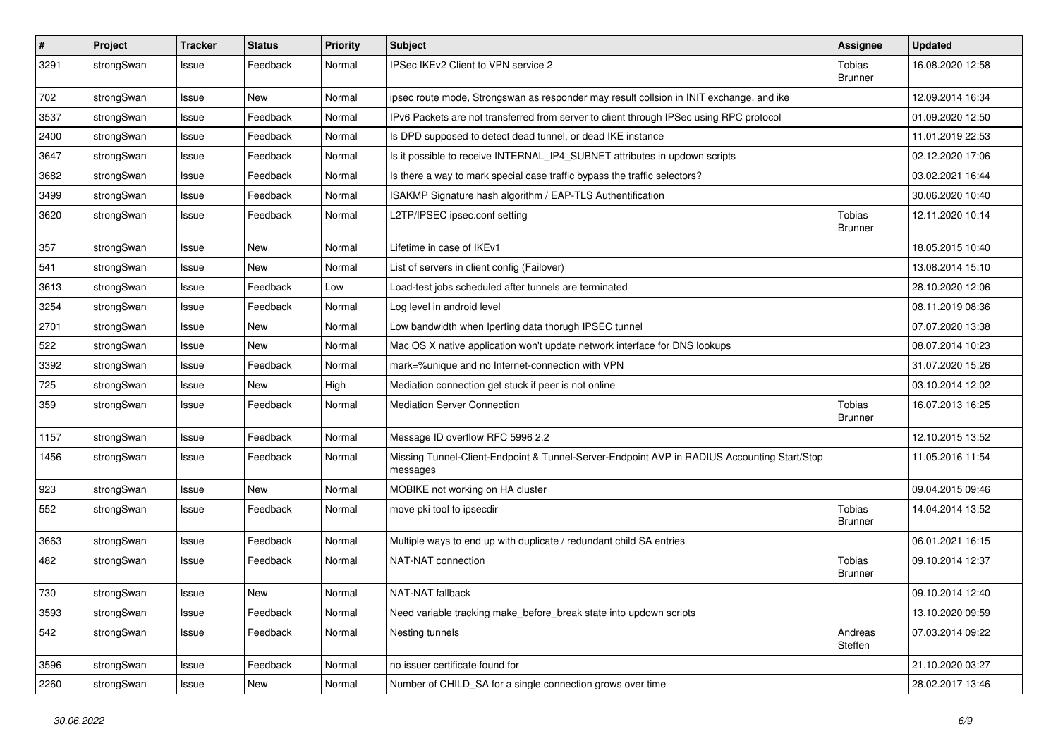| $\sharp$ | Project    | <b>Tracker</b> | <b>Status</b> | <b>Priority</b> | <b>Subject</b>                                                                                          | <b>Assignee</b>          | <b>Updated</b>   |
|----------|------------|----------------|---------------|-----------------|---------------------------------------------------------------------------------------------------------|--------------------------|------------------|
| 3291     | strongSwan | Issue          | Feedback      | Normal          | IPSec IKEv2 Client to VPN service 2                                                                     | Tobias<br><b>Brunner</b> | 16.08.2020 12:58 |
| 702      | strongSwan | Issue          | New           | Normal          | ipsec route mode, Strongswan as responder may result collsion in INIT exchange. and ike                 |                          | 12.09.2014 16:34 |
| 3537     | strongSwan | Issue          | Feedback      | Normal          | IPv6 Packets are not transferred from server to client through IPSec using RPC protocol                 |                          | 01.09.2020 12:50 |
| 2400     | strongSwan | Issue          | Feedback      | Normal          | Is DPD supposed to detect dead tunnel, or dead IKE instance                                             |                          | 11.01.2019 22:53 |
| 3647     | strongSwan | Issue          | Feedback      | Normal          | Is it possible to receive INTERNAL_IP4_SUBNET attributes in updown scripts                              |                          | 02.12.2020 17:06 |
| 3682     | strongSwan | Issue          | Feedback      | Normal          | Is there a way to mark special case traffic bypass the traffic selectors?                               |                          | 03.02.2021 16:44 |
| 3499     | strongSwan | Issue          | Feedback      | Normal          | ISAKMP Signature hash algorithm / EAP-TLS Authentification                                              |                          | 30.06.2020 10:40 |
| 3620     | strongSwan | Issue          | Feedback      | Normal          | L2TP/IPSEC ipsec.conf setting                                                                           | Tobias<br><b>Brunner</b> | 12.11.2020 10:14 |
| 357      | strongSwan | Issue          | <b>New</b>    | Normal          | Lifetime in case of IKEv1                                                                               |                          | 18.05.2015 10:40 |
| 541      | strongSwan | Issue          | <b>New</b>    | Normal          | List of servers in client config (Failover)                                                             |                          | 13.08.2014 15:10 |
| 3613     | strongSwan | Issue          | Feedback      | Low             | Load-test jobs scheduled after tunnels are terminated                                                   |                          | 28.10.2020 12:06 |
| 3254     | strongSwan | Issue          | Feedback      | Normal          | Log level in android level                                                                              |                          | 08.11.2019 08:36 |
| 2701     | strongSwan | Issue          | <b>New</b>    | Normal          | Low bandwidth when Iperfing data thorugh IPSEC tunnel                                                   |                          | 07.07.2020 13:38 |
| 522      | strongSwan | Issue          | New           | Normal          | Mac OS X native application won't update network interface for DNS lookups                              |                          | 08.07.2014 10:23 |
| 3392     | strongSwan | Issue          | Feedback      | Normal          | mark=%unique and no Internet-connection with VPN                                                        |                          | 31.07.2020 15:26 |
| 725      | strongSwan | Issue          | New           | High            | Mediation connection get stuck if peer is not online                                                    |                          | 03.10.2014 12:02 |
| 359      | strongSwan | Issue          | Feedback      | Normal          | <b>Mediation Server Connection</b>                                                                      | Tobias<br><b>Brunner</b> | 16.07.2013 16:25 |
| 1157     | strongSwan | Issue          | Feedback      | Normal          | Message ID overflow RFC 5996 2.2                                                                        |                          | 12.10.2015 13:52 |
| 1456     | strongSwan | Issue          | Feedback      | Normal          | Missing Tunnel-Client-Endpoint & Tunnel-Server-Endpoint AVP in RADIUS Accounting Start/Stop<br>messages |                          | 11.05.2016 11:54 |
| 923      | strongSwan | Issue          | New           | Normal          | MOBIKE not working on HA cluster                                                                        |                          | 09.04.2015 09:46 |
| 552      | strongSwan | Issue          | Feedback      | Normal          | move pki tool to ipsecdir                                                                               | Tobias<br><b>Brunner</b> | 14.04.2014 13:52 |
| 3663     | strongSwan | Issue          | Feedback      | Normal          | Multiple ways to end up with duplicate / redundant child SA entries                                     |                          | 06.01.2021 16:15 |
| 482      | strongSwan | Issue          | Feedback      | Normal          | NAT-NAT connection                                                                                      | Tobias<br><b>Brunner</b> | 09.10.2014 12:37 |
| 730      | strongSwan | Issue          | New           | Normal          | NAT-NAT fallback                                                                                        |                          | 09.10.2014 12:40 |
| 3593     | strongSwan | Issue          | Feedback      | Normal          | Need variable tracking make_before_break state into updown scripts                                      |                          | 13.10.2020 09:59 |
| 542      | strongSwan | Issue          | Feedback      | Normal          | Nesting tunnels                                                                                         | Andreas<br>Steffen       | 07.03.2014 09:22 |
| 3596     | strongSwan | Issue          | Feedback      | Normal          | no issuer certificate found for                                                                         |                          | 21.10.2020 03:27 |
| 2260     | strongSwan | Issue          | New           | Normal          | Number of CHILD_SA for a single connection grows over time                                              |                          | 28.02.2017 13:46 |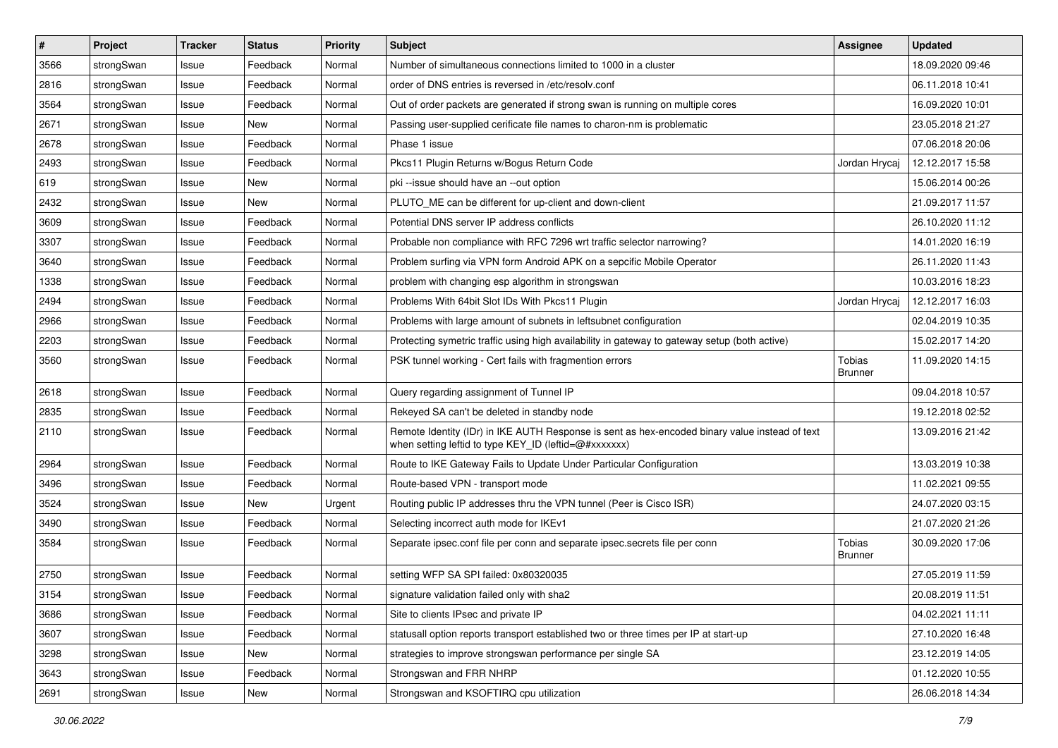| $\sharp$ | Project    | <b>Tracker</b> | <b>Status</b> | <b>Priority</b> | <b>Subject</b>                                                                                                                                          | <b>Assignee</b>          | <b>Updated</b>   |
|----------|------------|----------------|---------------|-----------------|---------------------------------------------------------------------------------------------------------------------------------------------------------|--------------------------|------------------|
| 3566     | strongSwan | Issue          | Feedback      | Normal          | Number of simultaneous connections limited to 1000 in a cluster                                                                                         |                          | 18.09.2020 09:46 |
| 2816     | strongSwan | Issue          | Feedback      | Normal          | order of DNS entries is reversed in /etc/resolv.conf                                                                                                    |                          | 06.11.2018 10:41 |
| 3564     | strongSwan | Issue          | Feedback      | Normal          | Out of order packets are generated if strong swan is running on multiple cores                                                                          |                          | 16.09.2020 10:01 |
| 2671     | strongSwan | Issue          | New           | Normal          | Passing user-supplied cerificate file names to charon-nm is problematic                                                                                 |                          | 23.05.2018 21:27 |
| 2678     | strongSwan | Issue          | Feedback      | Normal          | Phase 1 issue                                                                                                                                           |                          | 07.06.2018 20:06 |
| 2493     | strongSwan | Issue          | Feedback      | Normal          | Pkcs11 Plugin Returns w/Bogus Return Code                                                                                                               | Jordan Hrycaj            | 12.12.2017 15:58 |
| 619      | strongSwan | Issue          | New           | Normal          | pki --issue should have an --out option                                                                                                                 |                          | 15.06.2014 00:26 |
| 2432     | strongSwan | Issue          | New           | Normal          | PLUTO_ME can be different for up-client and down-client                                                                                                 |                          | 21.09.2017 11:57 |
| 3609     | strongSwan | Issue          | Feedback      | Normal          | Potential DNS server IP address conflicts                                                                                                               |                          | 26.10.2020 11:12 |
| 3307     | strongSwan | Issue          | Feedback      | Normal          | Probable non compliance with RFC 7296 wrt traffic selector narrowing?                                                                                   |                          | 14.01.2020 16:19 |
| 3640     | strongSwan | Issue          | Feedback      | Normal          | Problem surfing via VPN form Android APK on a sepcific Mobile Operator                                                                                  |                          | 26.11.2020 11:43 |
| 1338     | strongSwan | Issue          | Feedback      | Normal          | problem with changing esp algorithm in strongswan                                                                                                       |                          | 10.03.2016 18:23 |
| 2494     | strongSwan | Issue          | Feedback      | Normal          | Problems With 64bit Slot IDs With Pkcs11 Plugin                                                                                                         | Jordan Hrycaj            | 12.12.2017 16:03 |
| 2966     | strongSwan | Issue          | Feedback      | Normal          | Problems with large amount of subnets in leftsubnet configuration                                                                                       |                          | 02.04.2019 10:35 |
| 2203     | strongSwan | Issue          | Feedback      | Normal          | Protecting symetric traffic using high availability in gateway to gateway setup (both active)                                                           |                          | 15.02.2017 14:20 |
| 3560     | strongSwan | Issue          | Feedback      | Normal          | PSK tunnel working - Cert fails with fragmention errors                                                                                                 | Tobias<br>Brunner        | 11.09.2020 14:15 |
| 2618     | strongSwan | Issue          | Feedback      | Normal          | Query regarding assignment of Tunnel IP                                                                                                                 |                          | 09.04.2018 10:57 |
| 2835     | strongSwan | Issue          | Feedback      | Normal          | Rekeyed SA can't be deleted in standby node                                                                                                             |                          | 19.12.2018 02:52 |
| 2110     | strongSwan | Issue          | Feedback      | Normal          | Remote Identity (IDr) in IKE AUTH Response is sent as hex-encoded binary value instead of text<br>when setting leftid to type KEY_ID (leftid=@#xxxxxxx) |                          | 13.09.2016 21:42 |
| 2964     | strongSwan | Issue          | Feedback      | Normal          | Route to IKE Gateway Fails to Update Under Particular Configuration                                                                                     |                          | 13.03.2019 10:38 |
| 3496     | strongSwan | Issue          | Feedback      | Normal          | Route-based VPN - transport mode                                                                                                                        |                          | 11.02.2021 09:55 |
| 3524     | strongSwan | Issue          | New           | Urgent          | Routing public IP addresses thru the VPN tunnel (Peer is Cisco ISR)                                                                                     |                          | 24.07.2020 03:15 |
| 3490     | strongSwan | Issue          | Feedback      | Normal          | Selecting incorrect auth mode for IKEv1                                                                                                                 |                          | 21.07.2020 21:26 |
| 3584     | strongSwan | Issue          | Feedback      | Normal          | Separate ipsec.conf file per conn and separate ipsec.secrets file per conn                                                                              | Tobias<br><b>Brunner</b> | 30.09.2020 17:06 |
| 2750     | strongSwan | Issue          | Feedback      | Normal          | setting WFP SA SPI failed: 0x80320035                                                                                                                   |                          | 27.05.2019 11:59 |
| 3154     | strongSwan | Issue          | Feedback      | Normal          | signature validation failed only with sha2                                                                                                              |                          | 20.08.2019 11:51 |
| 3686     | strongSwan | Issue          | Feedback      | Normal          | Site to clients IPsec and private IP                                                                                                                    |                          | 04.02.2021 11:11 |
| 3607     | strongSwan | Issue          | Feedback      | Normal          | statusall option reports transport established two or three times per IP at start-up                                                                    |                          | 27.10.2020 16:48 |
| 3298     | strongSwan | Issue          | New           | Normal          | strategies to improve strongswan performance per single SA                                                                                              |                          | 23.12.2019 14:05 |
| 3643     | strongSwan | Issue          | Feedback      | Normal          | Strongswan and FRR NHRP                                                                                                                                 |                          | 01.12.2020 10:55 |
| 2691     | strongSwan | Issue          | New           | Normal          | Strongswan and KSOFTIRQ cpu utilization                                                                                                                 |                          | 26.06.2018 14:34 |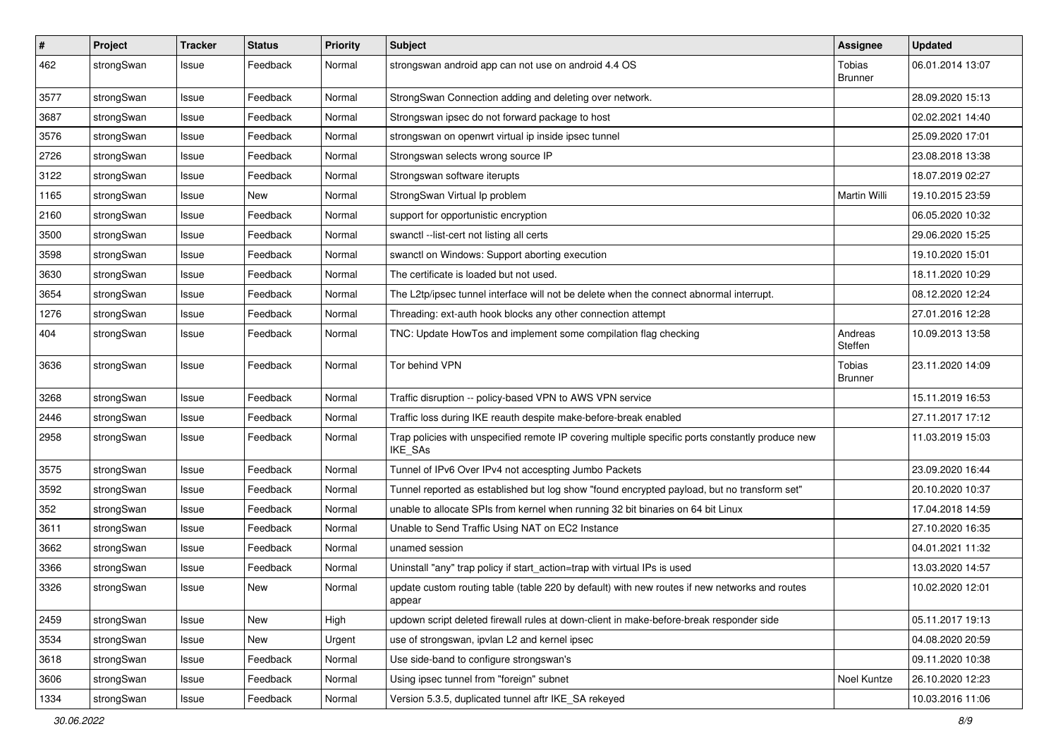| $\pmb{\#}$ | Project    | <b>Tracker</b> | <b>Status</b> | <b>Priority</b> | <b>Subject</b>                                                                                                     | Assignee                 | <b>Updated</b>   |
|------------|------------|----------------|---------------|-----------------|--------------------------------------------------------------------------------------------------------------------|--------------------------|------------------|
| 462        | strongSwan | Issue          | Feedback      | Normal          | strongswan android app can not use on android 4.4 OS                                                               | Tobias<br><b>Brunner</b> | 06.01.2014 13:07 |
| 3577       | strongSwan | Issue          | Feedback      | Normal          | StrongSwan Connection adding and deleting over network.                                                            |                          | 28.09.2020 15:13 |
| 3687       | strongSwan | Issue          | Feedback      | Normal          | Strongswan ipsec do not forward package to host                                                                    |                          | 02.02.2021 14:40 |
| 3576       | strongSwan | Issue          | Feedback      | Normal          | strongswan on openwrt virtual ip inside ipsec tunnel                                                               |                          | 25.09.2020 17:01 |
| 2726       | strongSwan | Issue          | Feedback      | Normal          | Strongswan selects wrong source IP                                                                                 |                          | 23.08.2018 13:38 |
| 3122       | strongSwan | Issue          | Feedback      | Normal          | Strongswan software iterupts                                                                                       |                          | 18.07.2019 02:27 |
| 1165       | strongSwan | Issue          | New           | Normal          | StrongSwan Virtual Ip problem                                                                                      | Martin Willi             | 19.10.2015 23:59 |
| 2160       | strongSwan | lssue          | Feedback      | Normal          | support for opportunistic encryption                                                                               |                          | 06.05.2020 10:32 |
| 3500       | strongSwan | Issue          | Feedback      | Normal          | swanctl --list-cert not listing all certs                                                                          |                          | 29.06.2020 15:25 |
| 3598       | strongSwan | Issue          | Feedback      | Normal          | swanctl on Windows: Support aborting execution                                                                     |                          | 19.10.2020 15:01 |
| 3630       | strongSwan | Issue          | Feedback      | Normal          | The certificate is loaded but not used.                                                                            |                          | 18.11.2020 10:29 |
| 3654       | strongSwan | Issue          | Feedback      | Normal          | The L2tp/ipsec tunnel interface will not be delete when the connect abnormal interrupt.                            |                          | 08.12.2020 12:24 |
| 1276       | strongSwan | Issue          | Feedback      | Normal          | Threading: ext-auth hook blocks any other connection attempt                                                       |                          | 27.01.2016 12:28 |
| 404        | strongSwan | Issue          | Feedback      | Normal          | TNC: Update HowTos and implement some compilation flag checking                                                    | Andreas<br>Steffen       | 10.09.2013 13:58 |
| 3636       | strongSwan | Issue          | Feedback      | Normal          | Tor behind VPN                                                                                                     | Tobias<br><b>Brunner</b> | 23.11.2020 14:09 |
| 3268       | strongSwan | Issue          | Feedback      | Normal          | Traffic disruption -- policy-based VPN to AWS VPN service                                                          |                          | 15.11.2019 16:53 |
| 2446       | strongSwan | Issue          | Feedback      | Normal          | Traffic loss during IKE reauth despite make-before-break enabled                                                   |                          | 27.11.2017 17:12 |
| 2958       | strongSwan | Issue          | Feedback      | Normal          | Trap policies with unspecified remote IP covering multiple specific ports constantly produce new<br><b>IKE SAs</b> |                          | 11.03.2019 15:03 |
| 3575       | strongSwan | Issue          | Feedback      | Normal          | Tunnel of IPv6 Over IPv4 not accespting Jumbo Packets                                                              |                          | 23.09.2020 16:44 |
| 3592       | strongSwan | Issue          | Feedback      | Normal          | Tunnel reported as established but log show "found encrypted payload, but no transform set"                        |                          | 20.10.2020 10:37 |
| 352        | strongSwan | lssue          | Feedback      | Normal          | unable to allocate SPIs from kernel when running 32 bit binaries on 64 bit Linux                                   |                          | 17.04.2018 14:59 |
| 3611       | strongSwan | Issue          | Feedback      | Normal          | Unable to Send Traffic Using NAT on EC2 Instance                                                                   |                          | 27.10.2020 16:35 |
| 3662       | strongSwan | Issue          | Feedback      | Normal          | unamed session                                                                                                     |                          | 04.01.2021 11:32 |
| 3366       | strongSwan | Issue          | Feedback      | Normal          | Uninstall "any" trap policy if start_action=trap with virtual IPs is used                                          |                          | 13.03.2020 14:57 |
| 3326       | strongSwan | Issue          | New           | Normal          | update custom routing table (table 220 by default) with new routes if new networks and routes<br>appear            |                          | 10.02.2020 12:01 |
| 2459       | strongSwan | Issue          | <b>New</b>    | High            | updown script deleted firewall rules at down-client in make-before-break responder side                            |                          | 05.11.2017 19:13 |
| 3534       | strongSwan | Issue          | New           | Urgent          | use of strongswan, ipvlan L2 and kernel ipsec                                                                      |                          | 04.08.2020 20:59 |
| 3618       | strongSwan | Issue          | Feedback      | Normal          | Use side-band to configure strongswan's                                                                            |                          | 09.11.2020 10:38 |
| 3606       | strongSwan | Issue          | Feedback      | Normal          | Using ipsec tunnel from "foreign" subnet                                                                           | Noel Kuntze              | 26.10.2020 12:23 |
| 1334       | strongSwan | Issue          | Feedback      | Normal          | Version 5.3.5, duplicated tunnel aftr IKE_SA rekeyed                                                               |                          | 10.03.2016 11:06 |